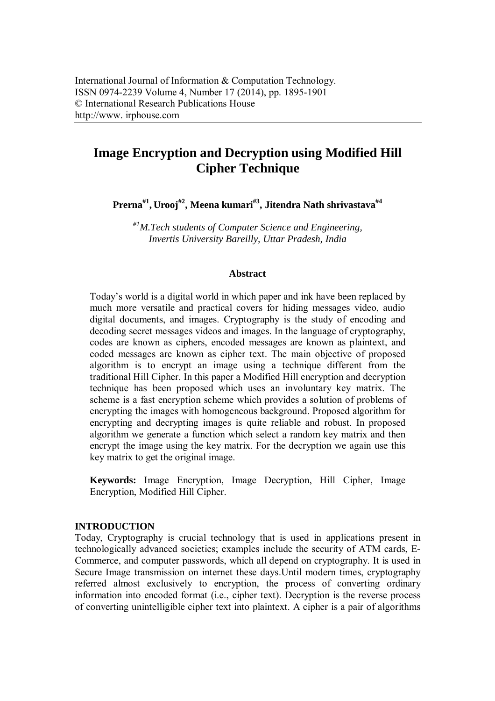# **Image Encryption and Decryption using Modified Hill Cipher Technique**

**Prerna#1 , Urooj#2, Meena kumari#3, Jitendra Nath shrivastava#4**

*#1M.Tech students of Computer Science and Engineering, Invertis University Bareilly, Uttar Pradesh, India*

#### **Abstract**

Today's world is a digital world in which paper and ink have been replaced by much more versatile and practical covers for hiding messages video, audio digital documents, and images. Cryptography is the study of encoding and decoding secret messages videos and images. In the language of cryptography, codes are known as ciphers, encoded messages are known as plaintext, and coded messages are known as cipher text. The main objective of proposed algorithm is to encrypt an image using a technique different from the traditional Hill Cipher. In this paper a Modified Hill encryption and decryption technique has been proposed which uses an involuntary key matrix. The scheme is a fast encryption scheme which provides a solution of problems of encrypting the images with homogeneous background. Proposed algorithm for encrypting and decrypting images is quite reliable and robust. In proposed algorithm we generate a function which select a random key matrix and then encrypt the image using the key matrix. For the decryption we again use this key matrix to get the original image.

**Keywords:** Image Encryption, Image Decryption, Hill Cipher, Image Encryption, Modified Hill Cipher.

#### **INTRODUCTION**

Today, Cryptography is crucial technology that is used in applications present in technologically advanced societies; examples include the security of ATM cards, E-Commerce, and computer passwords, which all depend on cryptography. It is used in Secure Image transmission on internet these days.Until modern times, cryptography referred almost exclusively to encryption, the process of converting ordinary information into encoded format (i.e., cipher text). Decryption is the reverse process of converting unintelligible cipher text into plaintext. A cipher is a pair of algorithms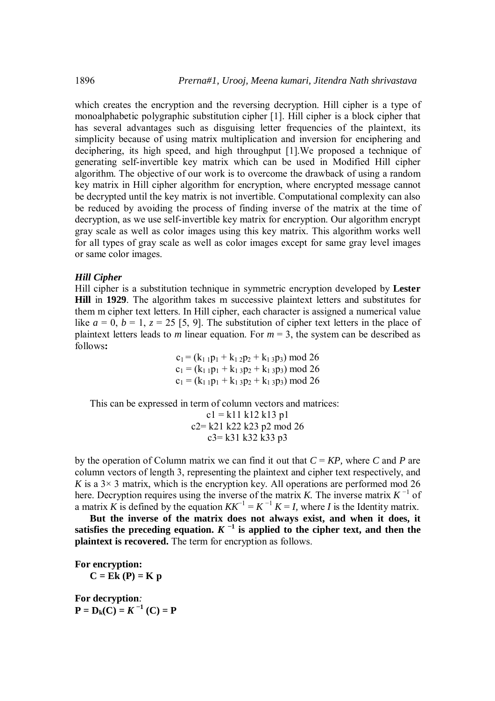which creates the encryption and the reversing decryption. Hill cipher is a type of monoalphabetic polygraphic substitution cipher [1]. Hill cipher is a block cipher that has several advantages such as disguising letter frequencies of the plaintext, its simplicity because of using matrix multiplication and inversion for enciphering and deciphering, its high speed, and high throughput [1].We proposed a technique of generating self-invertible key matrix which can be used in Modified Hill cipher algorithm. The objective of our work is to overcome the drawback of using a random key matrix in Hill cipher algorithm for encryption, where encrypted message cannot be decrypted until the key matrix is not invertible. Computational complexity can also be reduced by avoiding the process of finding inverse of the matrix at the time of decryption, as we use self-invertible key matrix for encryption. Our algorithm encrypt gray scale as well as color images using this key matrix. This algorithm works well for all types of gray scale as well as color images except for same gray level images or same color images.

#### *Hill Cipher*

Hill cipher is a substitution technique in symmetric encryption developed by **Lester Hill** in **1929**. The algorithm takes m successive plaintext letters and substitutes for them m cipher text letters. In Hill cipher, each character is assigned a numerical value like  $a = 0$ ,  $b = 1$ ,  $z = 25$  [5, 9]. The substitution of cipher text letters in the place of plaintext letters leads to *m* linear equation. For *m* = 3, the system can be described as follows**:** 

> $c_1 = (k_{11}p_1 + k_{12}p_2 + k_{13}p_3) \text{ mod } 26$  $c_1 = (k_{1} p_1 + k_{1} p_2 + k_{1} p_3) \text{ mod } 26$  $c_1 = (k_{11}p_1 + k_{13}p_2 + k_{13}p_3) \text{ mod } 26$

This can be expressed in term of column vectors and matrices:  $c1 = k11 k12 k13 p1$ 

c2= k21 k22 k23 p2 mod 26 c3= k31 k32 k33 p3

by the operation of Column matrix we can find it out that *C* = *KP,* where *C* and *P* are column vectors of length 3, representing the plaintext and cipher text respectively, and *K* is a  $3 \times 3$  matrix, which is the encryption key. All operations are performed mod 26 here. Decryption requires using the inverse of the matrix *K*. The inverse matrix  $K^{-1}$  of a matrix *K* is defined by the equation  $KK^{-1} = K^{-1} K = I$ , where *I* is the Identity matrix.

**But the inverse of the matrix does not always exist, and when it does, it**  satisfies the preceding equation.  $K^{-1}$  is applied to the cipher text, and then the **plaintext is recovered.** The term for encryption as follows.

**For encryption:**  $C = Ek(P) = K p$ 

**For decryption***:*  $P = D_k(C) = K^{-1}(C) = P$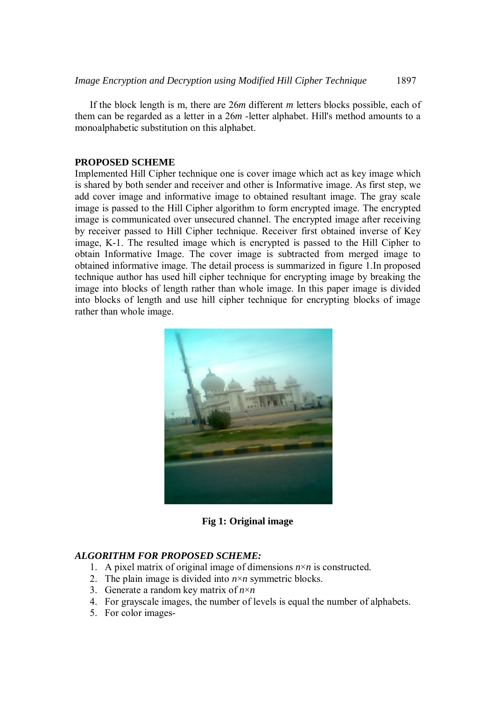If the block length is m, there are 26*m* different *m* letters blocks possible, each of them can be regarded as a letter in a 26*m* -letter alphabet. Hill's method amounts to a monoalphabetic substitution on this alphabet.

## **PROPOSED SCHEME**

Implemented Hill Cipher technique one is cover image which act as key image which is shared by both sender and receiver and other is Informative image. As first step, we add cover image and informative image to obtained resultant image. The gray scale image is passed to the Hill Cipher algorithm to form encrypted image. The encrypted image is communicated over unsecured channel. The encrypted image after receiving by receiver passed to Hill Cipher technique. Receiver first obtained inverse of Key image, K-1. The resulted image which is encrypted is passed to the Hill Cipher to obtain Informative Image. The cover image is subtracted from merged image to obtained informative image. The detail process is summarized in figure 1.In proposed technique author has used hill cipher technique for encrypting image by breaking the image into blocks of length rather than whole image. In this paper image is divided into blocks of length and use hill cipher technique for encrypting blocks of image rather than whole image.



**Fig 1: Original image**

## *ALGORITHM FOR PROPOSED SCHEME:*

- 1. A pixel matrix of original image of dimensions  $n \times n$  is constructed.
- 2. The plain image is divided into  $n \times n$  symmetric blocks.
- 3. Generate a random key matrix of  $n \times n$
- 4. For grayscale images, the number of levels is equal the number of alphabets.
- 5. For color images-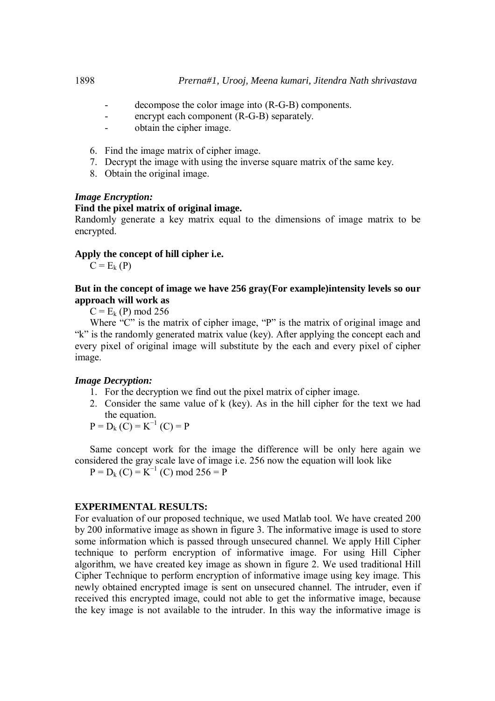- decompose the color image into (R-G-B) components.
- encrypt each component (R-G-B) separately.
- obtain the cipher image.
- 6. Find the image matrix of cipher image.
- 7. Decrypt the image with using the inverse square matrix of the same key.
- 8. Obtain the original image.

## *Image Encryption:*

## **Find the pixel matrix of original image.**

Randomly generate a key matrix equal to the dimensions of image matrix to be encrypted.

## **Apply the concept of hill cipher i.e.**

 $C = E_k(P)$ 

## **But in the concept of image we have 256 gray(For example)intensity levels so our approach will work as**

 $C = E_k$  (P) mod 256

Where "C" is the matrix of cipher image, "P" is the matrix of original image and "k" is the randomly generated matrix value (key). After applying the concept each and every pixel of original image will substitute by the each and every pixel of cipher image.

#### *Image Decryption:*

- 1. For the decryption we find out the pixel matrix of cipher image.
- 2. Consider the same value of k (key). As in the hill cipher for the text we had the equation.

 $P = D_k (C) = K^{-1} (C) = P$ 

Same concept work for the image the difference will be only here again we considered the gray scale lave of image i.e. 256 now the equation will look like

 $P = D_k (C) = K^{-1} (C) \text{ mod } 256 = P$ 

## **EXPERIMENTAL RESULTS:**

For evaluation of our proposed technique, we used Matlab tool. We have created 200 by 200 informative image as shown in figure 3. The informative image is used to store some information which is passed through unsecured channel. We apply Hill Cipher technique to perform encryption of informative image. For using Hill Cipher algorithm, we have created key image as shown in figure 2. We used traditional Hill Cipher Technique to perform encryption of informative image using key image. This newly obtained encrypted image is sent on unsecured channel. The intruder, even if received this encrypted image, could not able to get the informative image, because the key image is not available to the intruder. In this way the informative image is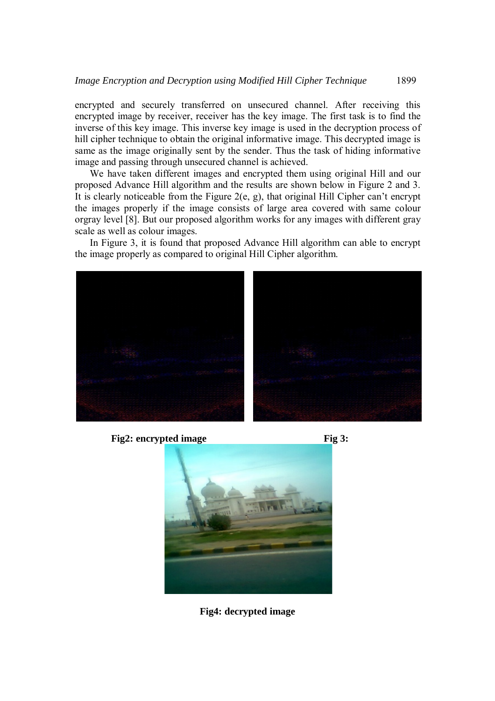encrypted and securely transferred on unsecured channel. After receiving this encrypted image by receiver, receiver has the key image. The first task is to find the inverse of this key image. This inverse key image is used in the decryption process of hill cipher technique to obtain the original informative image. This decrypted image is same as the image originally sent by the sender. Thus the task of hiding informative image and passing through unsecured channel is achieved.

We have taken different images and encrypted them using original Hill and our proposed Advance Hill algorithm and the results are shown below in Figure 2 and 3. It is clearly noticeable from the Figure 2(e, g), that original Hill Cipher can't encrypt the images properly if the image consists of large area covered with same colour orgray level [8]. But our proposed algorithm works for any images with different gray scale as well as colour images.

In Figure 3, it is found that proposed Advance Hill algorithm can able to encrypt the image properly as compared to original Hill Cipher algorithm.



**Fig2:** encrypted image **Fig 3:** 





**Fig4: decrypted image**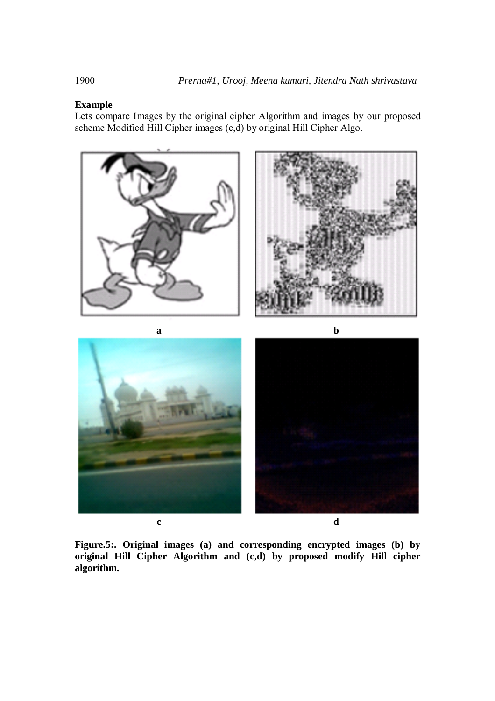## **Example**

Lets compare Images by the original cipher Algorithm and images by our proposed scheme Modified Hill Cipher images (c,d) by original Hill Cipher Algo.



**Figure.5:. Original images (a) and corresponding encrypted images (b) by original Hill Cipher Algorithm and (c,d) by proposed modify Hill cipher algorithm.**